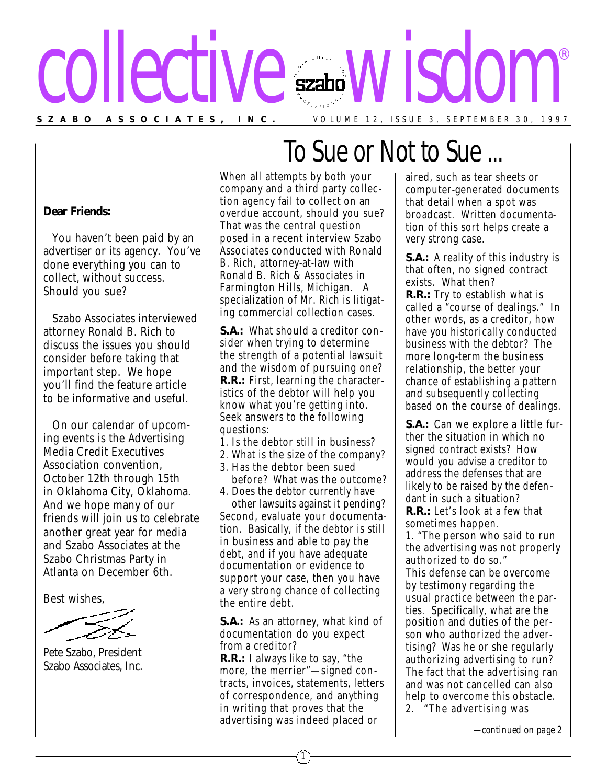

#### **Dear Friends:**

You haven't been paid by an advertiser or its agency. You've done everything you can to collect, without success. Should you sue?

Szabo Associates interviewed attorney Ronald B. Rich to discuss the issues you should consider before taking that important step. We hope you'll find the feature article to be informative and useful.

On our calendar of upcoming events is the Advertising Media Credit Executives Association convention, October 12th through 15th in Oklahoma City, Oklahoma. And we hope many of our friends will join us to celebrate another great year for media and Szabo Associates at the Szabo Christmas Party in Atlanta on December 6th.

Best wishes,

Pete Szabo, President Szabo Associates, Inc.

When all attempts by both your company and a third party collec tion agency fail to collect on an overdue account, should you sue? That was the central question posed in a recent interview Szabo Associates conducted with Ronald B. Rich, attorney-at-law with Ronald B. Rich & Associates in Farmington Hills, Michigan. A specialization of Mr. Rich is litigating commercial collection cases.

**S.A.:** What should a creditor consider when trying to determine the strength of a potential lawsuit and the wisdom of pursuing one? **R.R.:** First, learning the characteristics of the debtor will help you know what you're getting into. Seek answers to the following questions:

- 1. Is the debtor still in business?
- 2. What is the size of the company? 3. Has the debtor been sued
- before? What was the outcome? 4. Does the debtor currently have

other lawsuits against it pending? Second, evaluate your documentation. Basically, if the debtor is still in business and able to pay the debt, and if you have adequate documentation or evidence to support your case, then you have a very strong chance of collecting the entire debt.

**S.A.:** As an attorney, what kind of documentation do you expect from a creditor?

**R.R.:** I always like to say, "the more, the merrier"—signed contracts, invoices, statements, letters of correspondence, and anything in writing that proves that the advertising was indeed placed or

## To Sue or Not to Sue ...

aired, such as tear sheets or computer-generated documents that detail when a spot was broadcast. Written documentation of this sort helps create a very strong case.

**S.A.:** A reality of this industry is that often, no signed contract exists. What then? **R.R.:** Try to establish what is called a "course of dealings." In other words, as a creditor, how have you historically conducted business with the debtor? The more long-term the business relationship, the better your chance of establishing a pattern and subsequently collecting based on the course of dealings.

**S.A.:** Can we explore a little further the situation in which no signed contract exists? How would you advise a creditor to address the defenses that are likely to be raised by the defendant in such a situation? **R.R.:** Let's look at a few that sometimes happen.

1. "The person who said to run the advertising was not properly authorized to do so."

This defense can be overcome by testimony regarding the usual practice between the parties. Specifically, what are the position and duties of the person who authorized the advertising? Was he or she regularly authorizing advertising to run? The fact that the advertising ran and was not cancelled can also help to overcome this obstacle. 2. "The advertising was

*—continued on page 2*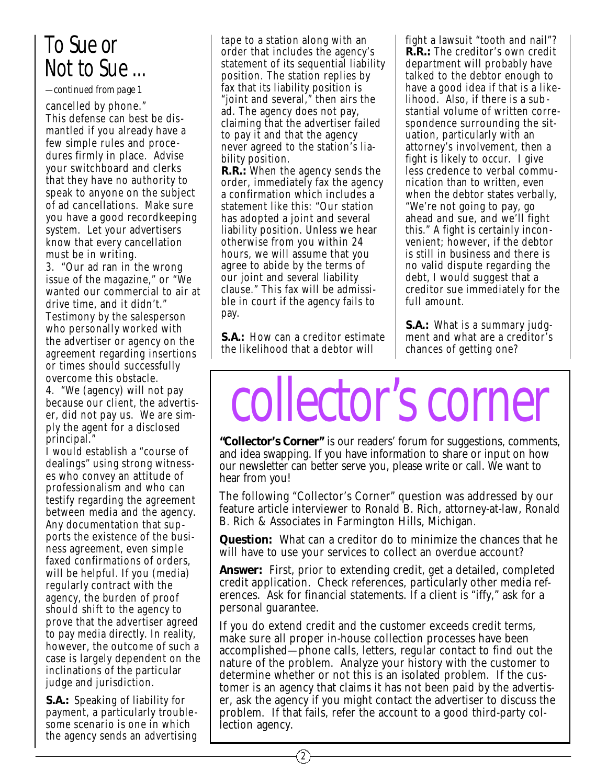### *To Sue or Not to Sue ...*

*—continued from page 1*

cancelled by phone." This defense can best be dis mantled if you already have a few simple rules and proce dures firmly in place. Advise your switchboard and clerks that they have no authority to speak to anyone on the subject of ad cancellations. Make sure you have a good recordkeeping system. Let your advertisers know that every cancellation must be in writing.

3. "Our ad ran in the wrong issue of the magazine," or "We wanted our commercial to air at drive time, and it didn't." Testimony by the salesperson who personally worked with the advertiser or agency on the agreement regarding insertions or times should successfully overcome this obstacle.

4. "We (agency) will not pay because our client, the advertiser, did not pay us. We are simply the agent for a disclosed principal."

I would establish a "course of dealings" using strong witness es who convey an attitude of professionalism and who can testify regarding the agreement between media and the agency. Any documentation that supports the existence of the business agreement, even simple faxed confirmations of orders, will be helpful. If you (media) regularly contract with the agency, the burden of proof *should* shift to the agency to prove that the advertiser agreed to pay media directly. In reality, however, the outcome of such a case is largely dependent on the inclinations of the particular judge and jurisdiction.

**S.A.:** Speaking of liability for payment, a particularly trouble some scenario is one in which the agency sends an advertising tape to a station along with an order that includes the agency's statement of its sequential liability position. The station replies by fax that its liability position is "joint and several," then airs the ad. The agency does not pay, claiming that the advertiser failed to pay it and that the agency never agreed to the station's liability position.

**R.R.:** When the agency sends the order, immediately fax the agency a confirmation which includes a statement like this: "Our station has adopted a joint and several liability position. Unless we hear otherwise from you within 24 hours, we will assume that you agree to abide by the terms of our joint and several liability clause." This fax will be admissible in court if the agency fails to pay.

**S.A.:** How can a creditor estimate the likelihood that a debtor will

2

fight a lawsuit "tooth and nail"? **R.R.:** The creditor's own credit department will probably have talked to the debtor enough to have a good idea if that is a likelihood. Also, if there is a sub stantial volume of written correspondence surrounding the situation, particularly with an attorney's involvement, then a fight is likely to occur. I give less credence to verbal communication than to written, even when the debtor states verbally, "We're not going to pay, go ahead and sue, and we'll fight this." A fight is certainly inconvenient; however, if the debtor is still in business and there is no valid dispute regarding the debt, I would suggest that a creditor sue immediately for the full amount.

**S.A.:** What is a summary judgment and what are a creditor's chances of getting one?

# collector's corner

**"Collector's Corner"** is our readers' forum for suggestions, comments, and idea swapping. If you have information to share or input on how our newsletter can better serve you, please write or call. We want to hear from you!

The following "Collector's Corner" question was addressed by our feature article interviewer to Ronald B. Rich, attorney-at-law, Ronald B. Rich & Associates in Farmington Hills, Michigan.

**Question:** What can a creditor do to minimize the chances that he will have to use your services to collect an overdue account?

**Answer:** First, prior to extending credit, get a detailed, completed credit application. Check references, particularly other media references. Ask for financial statements. If a client is "iffy," ask for a personal guarantee.

If you do extend credit and the customer exceeds credit terms, make sure all proper in-house collection processes have been accomplished—phone calls, letters, regular contact to find out the nature of the problem. Analyze your history with the customer to determine whether or not this is an isolated problem. If the customer is an agency that claims it has not been paid by the advertiser, ask the agency if you might contact the advertiser to discuss the problem. If that fails, refer the account to a good third-party collection agency.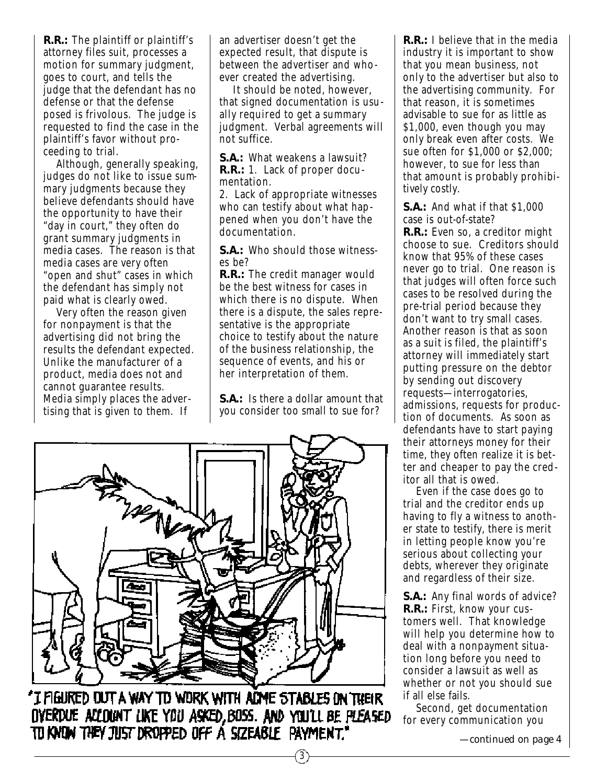**R.R.:** The plaintiff or plaintiff's attorney files suit, processes a motion for summary judgment, goes to court, and tells the judge that the defendant has no defense or that the defense posed is frivolous. The judge is requested to find the case in the plaintiff's favor without proceeding to trial.

Although, generally speaking, judges do not like to issue summary judgments because they believe defendants should have the opportunity to have their "day in court," they often do grant summary judgments in media cases. The reason is that media cases are very often "open and shut" cases in which the defendant has simply not paid what is clearly owed.

Very often the reason given for nonpayment is that the advertising did not bring the results the defendant expected. Unlike the manufacturer of a product, media does not and cannot guarantee results. Media simply places the advertising that is given to them. If

an advertiser doesn't get the expected result, that dispute is between the advertiser and whoever created the advertising.

It should be noted, however, that signed documentation is usually required to get a summary judgment. Verbal agreements will not suffice.

**S.A.:** What weakens a lawsuit? **R.R.:** 1. Lack of proper documentation.

2. Lack of appropriate witnesses who can testify about what happened when you don't have the documentation.

**S.A.:** Who should those witnesses be?

**R.R.:** The credit manager would be the best witness for cases in which there is no dispute. When there is a dispute, the sales representative is the appropriate choice to testify about the nature of the business relationship, the sequence of events, and his or her interpretation of them.

**S.A.:** Is there a dollar amount that you consider too small to sue for?

3



"I FIGURED DUT A WAY TO WORK WITH ADME STABLES ON THEIR OVERDUE ACLOUNT LIKE YOU ASKED, BOSS. AND YOU'LL BE PLEASED tu know they just dropped off a sizeable payment,"

**R.R.:** I believe that in the media industry it is important to show that you mean business, not only to the advertiser but also to the advertising community. For that reason, it is sometimes advisable to sue for as little as \$1,000, even though you may only break even after costs. We sue often for \$1,000 or \$2,000; however, to sue for less than that amount is probably prohibitively costly.

**S.A.:** And what if that \$1,000 case is out-of-state?

**R.R.:** Even so, a creditor might choose to sue. Creditors should know that 95% of these cases never go to trial. One reason is that judges will often force such cases to be resolved during the pre-trial period because they don't want to try small cases. Another reason is that as soon as a suit is filed, the plaintiff's attorney will immediately start putting pressure on the debtor by sending out discovery requests—interrogatories, admissions, requests for production of documents. As soon as defendants have to start paying their attorneys money for their time, they often realize it is better and cheaper to pay the creditor all that is owed.

Even if the case does go to trial and the creditor ends up having to fly a witness to another state to testify, there is merit in letting people know you're serious about collecting your debts, wherever they originate and regardless of their size.

**S.A.:** Any final words of advice? **R.R.:** First, know your customers well. That knowledge will help you determine how to deal with a nonpayment situation long before you need to consider a lawsuit as well as whether or not you should sue if all else fails.

Second, get documentation for every communication you